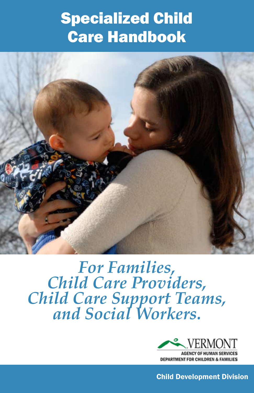# Specialized Child Care Handbook



*For Families, Child Care Providers, Child Care Support Teams, and Social Workers.*



**AGENCY OF HUMAN SERVICES DEPARTMENT FOR CHILDREN & FAMILIES** 

Child Development Division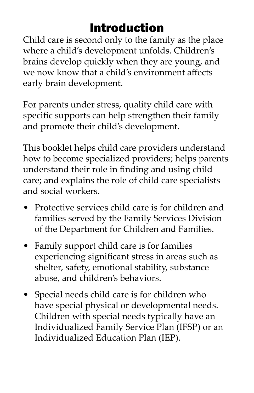### Introduction

Child care is second only to the family as the place where a child's development unfolds. Children's brains develop quickly when they are young, and we now know that a child's environment affects early brain development.

For parents under stress, quality child care with specific supports can help strengthen their family and promote their child's development.

This booklet helps child care providers understand how to become specialized providers; helps parents understand their role in finding and using child care; and explains the role of child care specialists and social workers.

- Protective services child care is for children and families served by the Family Services Division of the Department for Children and Families.
- Family support child care is for families experiencing significant stress in areas such as shelter, safety, emotional stability, substance abuse, and children's behaviors.
- Special needs child care is for children who have special physical or developmental needs. Children with special needs typically have an Individualized Family Service Plan (IFSP) or an Individualized Education Plan (IEP).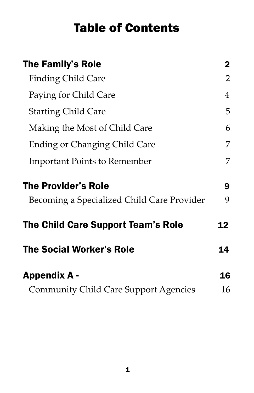#### Table of Contents

| <b>The Family's Role</b>                   | $\mathbf 2$ |
|--------------------------------------------|-------------|
| <b>Finding Child Care</b>                  | 2           |
| Paying for Child Care                      | 4           |
| <b>Starting Child Care</b>                 | 5           |
| Making the Most of Child Care              | 6           |
| <b>Ending or Changing Child Care</b>       | 7           |
| <b>Important Points to Remember</b>        | 7           |
| <b>The Provider's Role</b>                 | 9           |
|                                            | 9           |
| Becoming a Specialized Child Care Provider |             |
| The Child Care Support Team's Role         | 12          |
| <b>The Social Worker's Role</b>            | 14          |
| <b>Appendix A -</b>                        | 16          |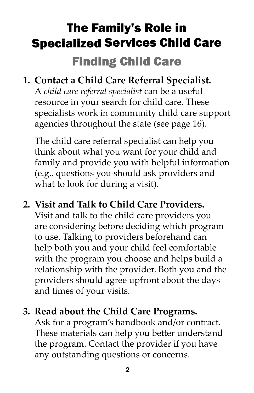# The Family's Role in Specialized Services Child Care Finding Child Care

#### **1. Contact a Child Care Referral Specialist.**

A *child care referral specialist* can be a useful resource in your search for child care. These specialists work in community child care support agencies throughout the state (see page 16).

The child care referral specialist can help you think about what you want for your child and family and provide you with helpful information (e.g., questions you should ask providers and what to look for during a visit).

#### **2. Visit and Talk to Child Care Providers.**

Visit and talk to the child care providers you are considering before deciding which program to use. Talking to providers beforehand can help both you and your child feel comfortable with the program you choose and helps build a relationship with the provider. Both you and the providers should agree upfront about the days and times of your visits.

#### **3. Read about the Child Care Programs.**

Ask for a program's handbook and/or contract. These materials can help you better understand the program. Contact the provider if you have any outstanding questions or concerns.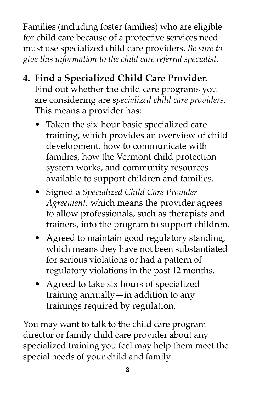Families (including foster families) who are eligible for child care because of a protective services need must use specialized child care providers. *Be sure to give this information to the child care referral specialist.* 

- **4. Find a Specialized Child Care Provider.** Find out whether the child care programs you are considering are *specialized child care providers.* This means a provider has:
	- Taken the six-hour basic specialized care training, which provides an overview of child development, how to communicate with families, how the Vermont child protection system works, and community resources available to support children and families.
	- Signed a *Specialized Child Care Provider Agreement,* which means the provider agrees to allow professionals, such as therapists and trainers, into the program to support children.
	- Agreed to maintain good regulatory standing, which means they have not been substantiated for serious violations or had a pattern of regulatory violations in the past 12 months.
	- Agreed to take six hours of specialized training annually—in addition to any trainings required by regulation.

You may want to talk to the child care program director or family child care provider about any specialized training you feel may help them meet the special needs of your child and family.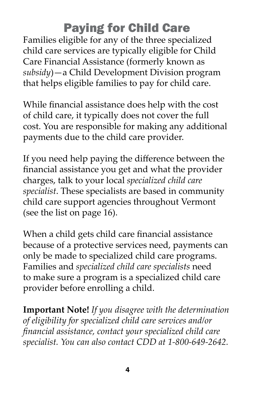### Paying for Child Care

Families eligible for any of the three specialized child care services are typically eligible for Child Care Financial Assistance (formerly known as *subsidy*)—a Child Development Division program that helps eligible families to pay for child care.

While financial assistance does help with the cost of child care, it typically does not cover the full cost. You are responsible for making any additional payments due to the child care provider.

If you need help paying the difference between the financial assistance you get and what the provider charges, talk to your local *specialized child care specialist*. These specialists are based in community child care support agencies throughout Vermont (see the list on page 16).

When a child gets child care financial assistance because of a protective services need, payments can only be made to specialized child care programs. Families and *specialized child care specialists* need to make sure a program is a specialized child care provider before enrolling a child.

**Important Note!** *If you disagree with the determination of eligibility for specialized child care services and/or financial assistance, contact your specialized child care specialist. You can also contact CDD at 1-800-649-2642.*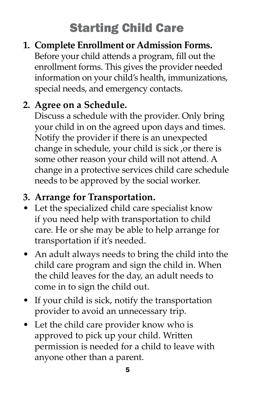# Starting Child Care

#### **1. Complete Enrollment or Admission Forms.**

Before your child attends a program, fill out the enrollment forms. This gives the provider needed information on your child's health, immunizations, special needs, and emergency contacts.

#### **2. Agree on a Schedule.**

Discuss a schedule with the provider. Only bring your child in on the agreed upon days and times. Notify the provider if there is an unexpected change in schedule, your child is sick ,or there is some other reason your child will not attend. A change in a protective services child care schedule needs to be approved by the social worker.

#### **3. Arrange for Transportation.**

- Let the specialized child care specialist know if you need help with transportation to child care. He or she may be able to help arrange for transportation if it's needed.
- An adult always needs to bring the child into the child care program and sign the child in. When the child leaves for the day, an adult needs to come in to sign the child out.
- If your child is sick, notify the transportation provider to avoid an unnecessary trip.
- Let the child care provider know who is approved to pick up your child. Written permission is needed for a child to leave with anyone other than a parent.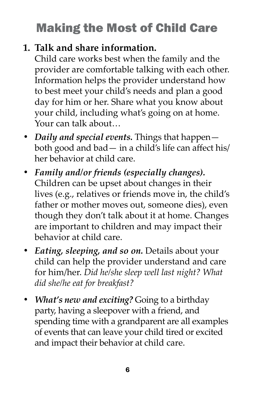# Making the Most of Child Care

#### **1. Talk and share information.**

Child care works best when the family and the provider are comfortable talking with each other. Information helps the provider understand how to best meet your child's needs and plan a good day for him or her. Share what you know about your child, including what's going on at home. Your can talk about…

- *• Daily and special events.* Things that happen both good and bad— in a child's life can affect his/ her behavior at child care.
- *• Family and/or friends (especially changes).*  Children can be upset about changes in their lives (e.g., relatives or friends move in, the child's father or mother moves out, someone dies), even though they don't talk about it at home. Changes are important to children and may impact their behavior at child care.
- *• Eating, sleeping, and so on.* Details about your child can help the provider understand and care for him/her. *Did he/she sleep well last night? What did she/he eat for breakfast?*
- *• What's new and exciting?* Going to a birthday party, having a sleepover with a friend, and spending time with a grandparent are all examples of events that can leave your child tired or excited and impact their behavior at child care.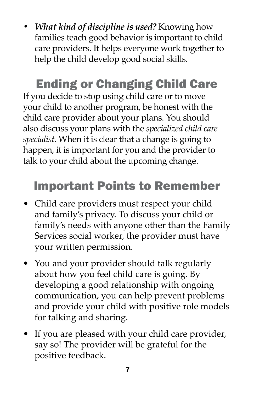*• What kind of discipline is used?* Knowing how families teach good behavior is important to child care providers. It helps everyone work together to help the child develop good social skills.

# Ending or Changing Child Care

If you decide to stop using child care or to move your child to another program, be honest with the child care provider about your plans. You should also discuss your plans with the *specialized child care specialist*. When it is clear that a change is going to happen, it is important for you and the provider to talk to your child about the upcoming change.

# Important Points to Remember

- Child care providers must respect your child and family's privacy. To discuss your child or family's needs with anyone other than the Family Services social worker, the provider must have your written permission.
- You and your provider should talk regularly about how you feel child care is going. By developing a good relationship with ongoing communication, you can help prevent problems and provide your child with positive role models for talking and sharing.
- If you are pleased with your child care provider, say so! The provider will be grateful for the positive feedback.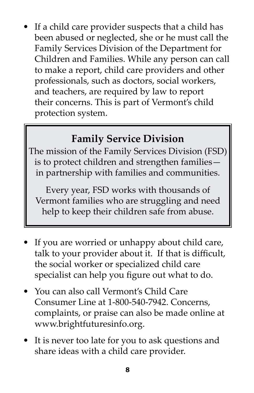If a child care provider suspects that a child has been abused or neglected, she or he must call the Family Services Division of the Department for Children and Families. While any person can call to make a report, child care providers and other professionals, such as doctors, social workers, and teachers, are required by law to report their concerns. This is part of Vermont's child protection system.

#### **Family Service Division**

The mission of the Family Services Division (FSD) is to protect children and strengthen families in partnership with families and communities.

Every year, FSD works with thousands of Vermont families who are struggling and need help to keep their children safe from abuse.

- If you are worried or unhappy about child care, talk to your provider about it. If that is difficult, the social worker or specialized child care specialist can help you figure out what to do.
- You can also call Vermont's Child Care Consumer Line at 1-800-540-7942. Concerns, complaints, or praise can also be made online at www.brightfuturesinfo.org.
- It is never too late for you to ask questions and share ideas with a child care provider.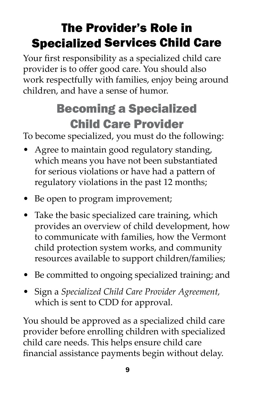# The Provider's Role in Specialized Services Child Care

Your first responsibility as a specialized child care provider is to offer good care. You should also work respectfully with families, enjoy being around children, and have a sense of humor.

# Becoming a Specialized Child Care Provider

To become specialized, you must do the following:

- Agree to maintain good regulatory standing, which means you have not been substantiated for serious violations or have had a pattern of regulatory violations in the past 12 months;
- Be open to program improvement;
- Take the basic specialized care training, which provides an overview of child development, how to communicate with families, how the Vermont child protection system works, and community resources available to support children/families;
- Be committed to ongoing specialized training; and
- Sign a *Specialized Child Care Provider Agreement,* which is sent to CDD for approval.

You should be approved as a specialized child care provider before enrolling children with specialized child care needs. This helps ensure child care financial assistance payments begin without delay.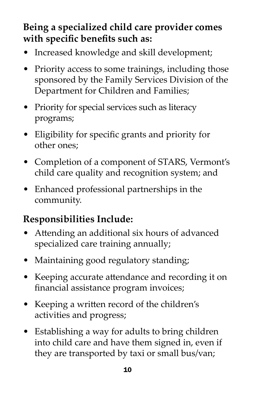#### **Being a specialized child care provider comes with specific benefits such as:**

- Increased knowledge and skill development;
- Priority access to some trainings, including those sponsored by the Family Services Division of the Department for Children and Families;
- Priority for special services such as literacy programs;
- Eligibility for specific grants and priority for other ones;
- Completion of a component of STARS, Vermont's child care quality and recognition system; and
- Enhanced professional partnerships in the community.

#### **Responsibilities Include:**

- Attending an additional six hours of advanced specialized care training annually;
- Maintaining good regulatory standing;
- Keeping accurate attendance and recording it on financial assistance program invoices;
- Keeping a written record of the children's activities and progress;
- Establishing a way for adults to bring children into child care and have them signed in, even if they are transported by taxi or small bus/van;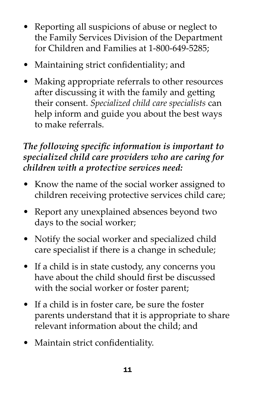- Reporting all suspicions of abuse or neglect to the Family Services Division of the Department for Children and Families at 1-800-649-5285;
- Maintaining strict confidentiality; and
- Making appropriate referrals to other resources after discussing it with the family and getting their consent. *Specialized child care specialists* can help inform and guide you about the best ways to make referrals.

#### *The following specific information is important to specialized child care providers who are caring for children with a protective services need:*

- Know the name of the social worker assigned to children receiving protective services child care;
- Report any unexplained absences beyond two days to the social worker;
- Notify the social worker and specialized child care specialist if there is a change in schedule;
- If a child is in state custody, any concerns you have about the child should first be discussed with the social worker or foster parent;
- If a child is in foster care, be sure the foster parents understand that it is appropriate to share relevant information about the child; and
- Maintain strict confidentiality.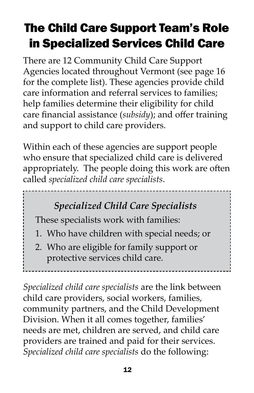# The Child Care Support Team's Role in Specialized Services Child Care

There are 12 Community Child Care Support Agencies located throughout Vermont (see page 16 for the complete list). These agencies provide child care information and referral services to families; help families determine their eligibility for child care financial assistance (*subsidy*); and offer training and support to child care providers.

Within each of these agencies are support people who ensure that specialized child care is delivered appropriately. The people doing this work are often called *specialized child care specialists*.

#### *Specialized Child Care Specialists*

These specialists work with families:

- 1. Who have children with special needs; or
- 2. Who are eligible for family support or protective services child care.

*Specialized child care specialists* are the link between child care providers, social workers, families, community partners, and the Child Development Division. When it all comes together, families' needs are met, children are served, and child care providers are trained and paid for their services. *Specialized child care specialists* do the following: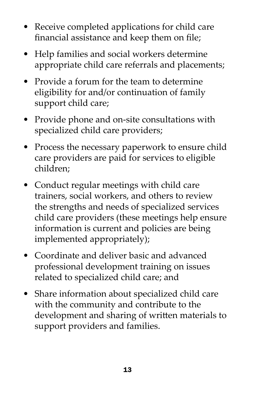- Receive completed applications for child care financial assistance and keep them on file;
- Help families and social workers determine appropriate child care referrals and placements;
- Provide a forum for the team to determine eligibility for and/or continuation of family support child care;
- Provide phone and on-site consultations with specialized child care providers;
- Process the necessary paperwork to ensure child care providers are paid for services to eligible children;
- Conduct regular meetings with child care trainers, social workers, and others to review the strengths and needs of specialized services child care providers (these meetings help ensure information is current and policies are being implemented appropriately);
- Coordinate and deliver basic and advanced professional development training on issues related to specialized child care; and
- Share information about specialized child care with the community and contribute to the development and sharing of written materials to support providers and families.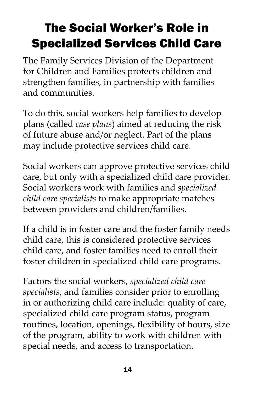# The Social Worker's Role in Specialized Services Child Care

The Family Services Division of the Department for Children and Families protects children and strengthen families, in partnership with families and communities.

To do this, social workers help families to develop plans (called *case plans*) aimed at reducing the risk of future abuse and/or neglect. Part of the plans may include protective services child care.

Social workers can approve protective services child care, but only with a specialized child care provider. Social workers work with families and *specialized child care specialists* to make appropriate matches between providers and children/families.

If a child is in foster care and the foster family needs child care, this is considered protective services child care, and foster families need to enroll their foster children in specialized child care programs.

Factors the social workers, *specialized child care specialists*, and families consider prior to enrolling in or authorizing child care include: quality of care, specialized child care program status, program routines, location, openings, flexibility of hours, size of the program, ability to work with children with special needs, and access to transportation.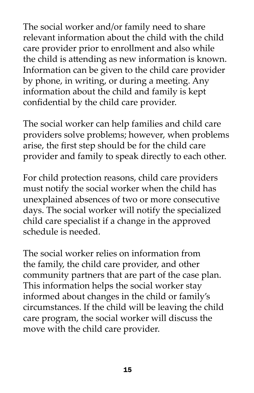The social worker and/or family need to share relevant information about the child with the child care provider prior to enrollment and also while the child is attending as new information is known. Information can be given to the child care provider by phone, in writing, or during a meeting. Any information about the child and family is kept confidential by the child care provider.

The social worker can help families and child care providers solve problems; however, when problems arise, the first step should be for the child care provider and family to speak directly to each other.

For child protection reasons, child care providers must notify the social worker when the child has unexplained absences of two or more consecutive days. The social worker will notify the specialized child care specialist if a change in the approved schedule is needed.

The social worker relies on information from the family, the child care provider, and other community partners that are part of the case plan. This information helps the social worker stay informed about changes in the child or family's circumstances. If the child will be leaving the child care program, the social worker will discuss the move with the child care provider.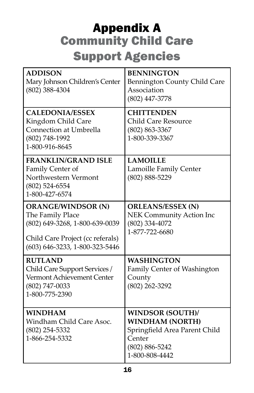### Appendix A Community Child Care Support Agencies

| <b>ADDISON</b><br>Mary Johnson Children's Center<br>$(802)$ 388-4304                                                                                  | <b>BENNINGTON</b><br>Bennington County Child Care<br>Association<br>(802) 447-3778                                                   |
|-------------------------------------------------------------------------------------------------------------------------------------------------------|--------------------------------------------------------------------------------------------------------------------------------------|
| <b>CALEDONIA/ESSEX</b><br>Kingdom Child Care<br><b>Connection at Umbrella</b><br>(802) 748-1992<br>1-800-916-8645                                     | <b>CHITTENDEN</b><br><b>Child Care Resource</b><br>$(802) 863 - 3367$<br>1-800-339-3367                                              |
| <b>FRANKLIN/GRAND ISLE</b><br>Family Center of<br>Northwestern Vermont<br>$(802)$ 524-6554<br>1-800-427-6574                                          | <b>LAMOILLE</b><br>Lamoille Family Center<br>$(802) 888 - 5229$                                                                      |
| <b>ORANGE/WINDSOR (N)</b><br>The Family Place<br>(802) 649-3268, 1-800-639-0039<br>Child Care Project (cc referals)<br>(603) 646-3233, 1-800-323-5446 | <b>ORLEANS/ESSEX (N)</b><br><b>NEK Community Action Inc</b><br>(802) 334-4072<br>1-877-722-6680                                      |
| <b>RUTLAND</b><br>Child Care Support Services /<br>Vermont Achievement Center<br>(802) 747-0033<br>1-800-775-2390                                     | <b>WASHINGTON</b><br>Family Center of Washington<br>County<br>(802) 262-3292                                                         |
| <b>WINDHAM</b><br>Windham Child Care Asoc.<br>(802) 254-5332<br>1-866-254-5332                                                                        | <b>WINDSOR (SOUTH)/</b><br><b>WINDHAM (NORTH)</b><br>Springfield Area Parent Child<br>Center<br>$(802) 886 - 5242$<br>1-800-808-4442 |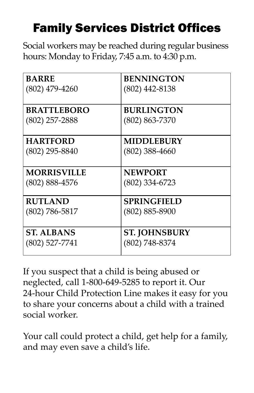## Family Services District Offices

Social workers may be reached during regular business hours: Monday to Friday, 7:45 a.m. to 4:30 p.m.

| <b>BARRE</b>       | <b>BENNINGTON</b>    |
|--------------------|----------------------|
| $(802)$ 479-4260   | $(802)$ 442-8138     |
| <b>BRATTLEBORO</b> | <b>BURLINGTON</b>    |
| $(802)$ 257-2888   | $(802) 863 - 7370$   |
| <b>HARTFORD</b>    | <b>MIDDLEBURY</b>    |
| $(802)$ 295-8840   | $(802)$ 388-4660     |
| <b>MORRISVILLE</b> | <b>NEWPORT</b>       |
| $(802) 888 - 4576$ | $(802)$ 334-6723     |
| <b>RUTLAND</b>     | <b>SPRINGFIELD</b>   |
| $(802)$ 786-5817   | $(802) 885 - 8900$   |
| <b>ST. ALBANS</b>  | <b>ST. JOHNSBURY</b> |
| $(802)$ 527-7741   | (802) 748-8374       |

If you suspect that a child is being abused or neglected, call 1-800-649-5285 to report it. Our 24-hour Child Protection Line makes it easy for you to share your concerns about a child with a trained social worker.

Your call could protect a child, get help for a family, and may even save a child's life.